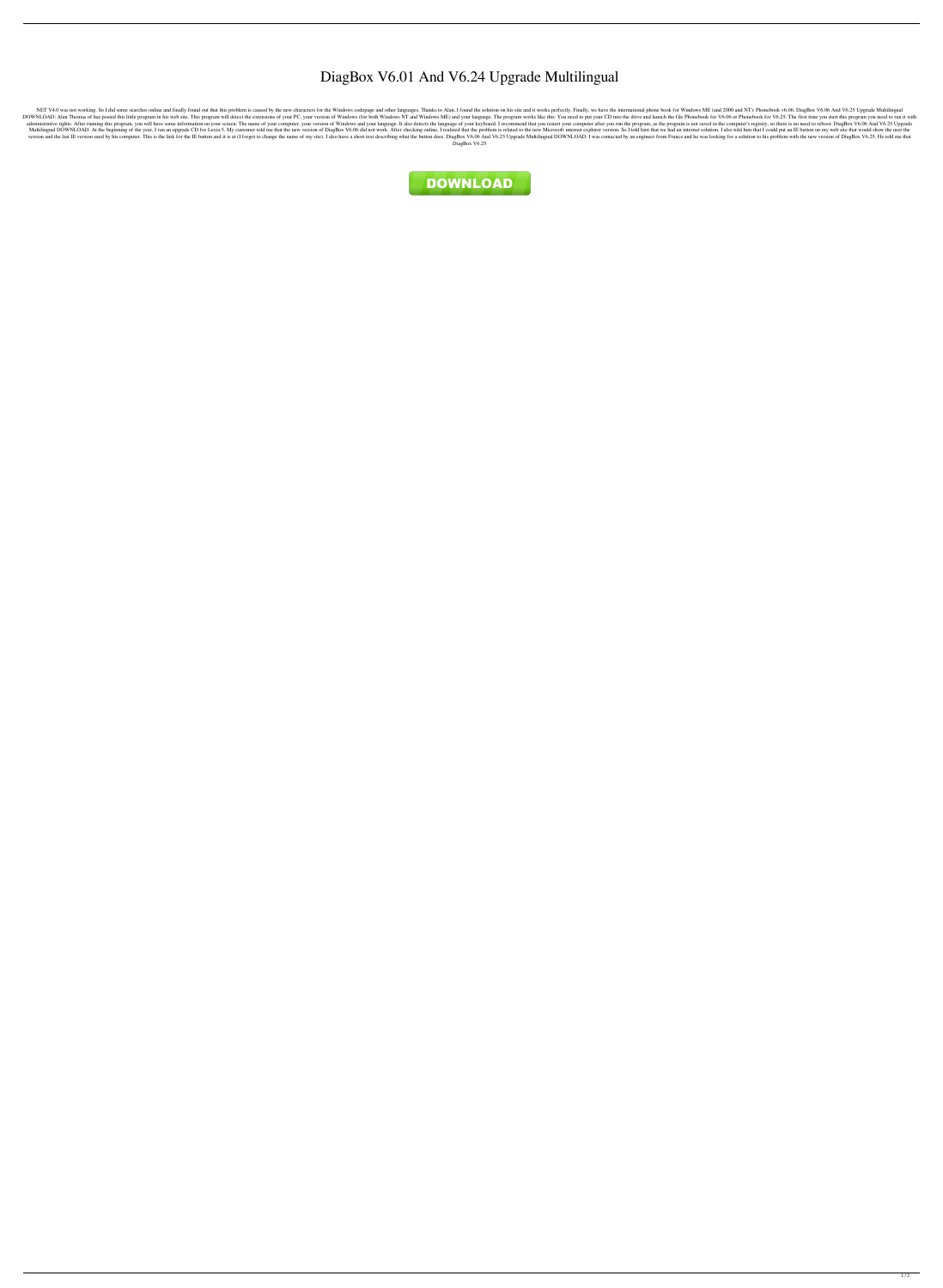## DiagBox V6.01 And V6.24 Upgrade Multilingual

NET V4.0 was not working. So I did some searches online and finally found out that this problem is caused by the new characters for the Windows codepage and other languages. Thanks to Alan, I found the solution on his site DOWNLOAD: Alan Thomas of has posted this little program in his web site. This program will detect the extensions of your PC, your version of Windows ME) and Windows ME) and windows ME) and your language. The program works administrative rights. After running this program, you will have some information on your screen: The name of your computer, your version of Windows and your language. It also detects the language of your run the program, Multilingual DOWNLOAD: At the beginning of the year, I ran an upgrade CD for Lexia 5. My customer told me that the new version of DiagBox V6.06 did not work. After checking online, I realized that the problem is related to version and the last IE version used by his computer. This is the link for the IE button and it is at (I forgot to change the name of my site). I also have a short text describing what the button does. DiagBox V6.05 And V6 DiagBox V6.25